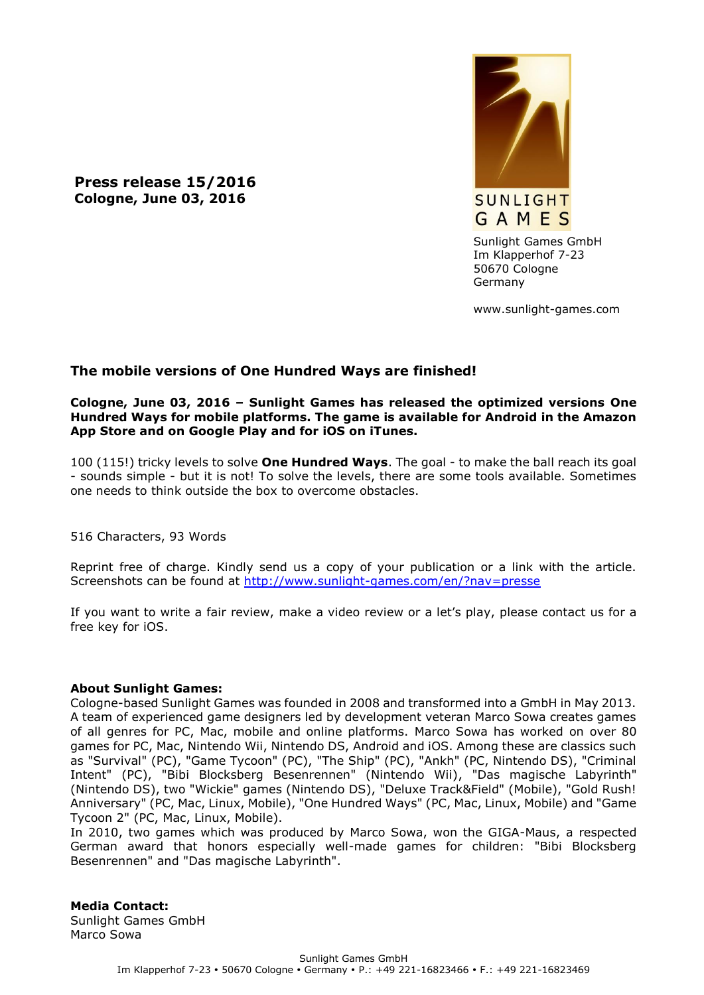**Press release 15/2016 Cologne, June 03, 2016**



Sunlight Games GmbH Im Klapperhof 7-23 50670 Cologne Germany

www.sunlight-games.com

## **The mobile versions of One Hundred Ways are finished!**

## **Cologne, June 03, 2016 – Sunlight Games has released the optimized versions One Hundred Ways for mobile platforms. The game is available for Android in the Amazon App Store and on Google Play and for iOS on iTunes.**

100 (115!) tricky levels to solve **One Hundred Ways**. The goal - to make the ball reach its goal - sounds simple - but it is not! To solve the levels, there are some tools available. Sometimes one needs to think outside the box to overcome obstacles.

516 Characters, 93 Words

Reprint free of charge. Kindly send us a copy of your publication or a link with the article. Screenshots can be found at<http://www.sunlight-games.com/en/?nav=presse>

If you want to write a fair review, make a video review or a let's play, please contact us for a free key for iOS.

## **About Sunlight Games:**

Cologne-based Sunlight Games was founded in 2008 and transformed into a GmbH in May 2013. A team of experienced game designers led by development veteran Marco Sowa creates games of all genres for PC, Mac, mobile and online platforms. Marco Sowa has worked on over 80 games for PC, Mac, Nintendo Wii, Nintendo DS, Android and iOS. Among these are classics such as "Survival" (PC), "Game Tycoon" (PC), "The Ship" (PC), "Ankh" (PC, Nintendo DS), "Criminal Intent" (PC), "Bibi Blocksberg Besenrennen" (Nintendo Wii), "Das magische Labyrinth" (Nintendo DS), two "Wickie" games (Nintendo DS), "Deluxe Track&Field" (Mobile), "Gold Rush! Anniversary" (PC, Mac, Linux, Mobile), "One Hundred Ways" (PC, Mac, Linux, Mobile) and "Game Tycoon 2" (PC, Mac, Linux, Mobile).

In 2010, two games which was produced by Marco Sowa, won the GIGA-Maus, a respected German award that honors especially well-made games for children: "Bibi Blocksberg Besenrennen" and "Das magische Labyrinth".

**Media Contact:** Sunlight Games GmbH Marco Sowa